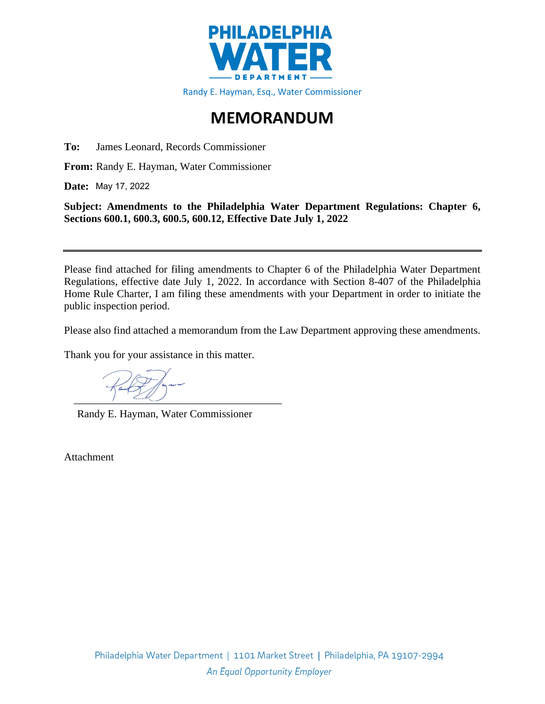

## **MEMORANDUM**

**To:** James Leonard, Records Commissioner

**From:** Randy E. Hayman, Water Commissioner

**Date:**  May 17, 2022

**Subject: Amendments to the Philadelphia Water Department Regulations: Chapter 6, Sections 600.1, 600.3, 600.5, 600.12, Effective Date July 1, 2022**

Please find attached for filing amendments to Chapter 6 of the Philadelphia Water Department Regulations, effective date July 1, 2022. In accordance with Section 8-407 of the Philadelphia Home Rule Charter, I am filing these amendments with your Department in order to initiate the public inspection period.

Please also find attached a memorandum from the Law Department approving these amendments.

Thank you for your assistance in this matter.

Randy E. Hayman, Water Commissioner

Attachment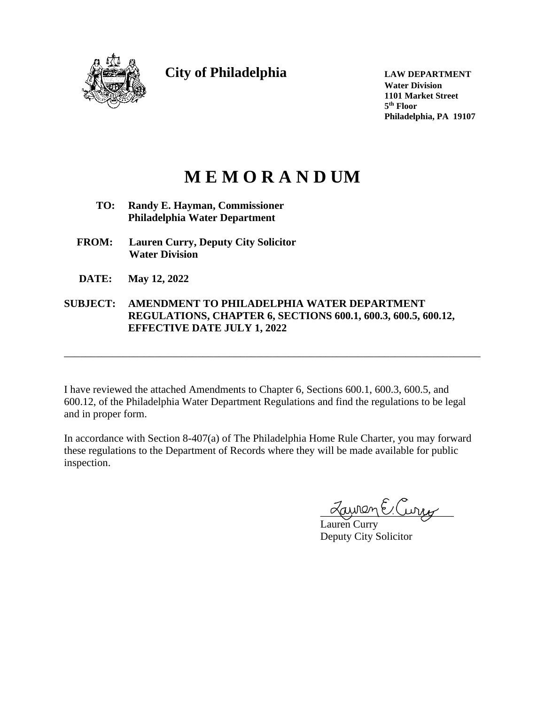

**City of Philadelphia LAW DEPARTMENT**

**Water Division 1101 Market Street 5 th Floor Philadelphia, PA 19107**

# **M E M O R A N D UM**

- **TO: Randy E. Hayman, Commissioner Philadelphia Water Department**
- **FROM: Lauren Curry, Deputy City Solicitor Water Division**
- **DATE: May 12, 2022**

## **SUBJECT: AMENDMENT TO PHILADELPHIA WATER DEPARTMENT REGULATIONS, CHAPTER 6, SECTIONS 600.1, 600.3, 600.5, 600.12, EFFECTIVE DATE JULY 1, 2022**

I have reviewed the attached Amendments to Chapter 6, Sections 600.1, 600.3, 600.5, and 600.12, of the Philadelphia Water Department Regulations and find the regulations to be legal and in proper form.

\_\_\_\_\_\_\_\_\_\_\_\_\_\_\_\_\_\_\_\_\_\_\_\_\_\_\_\_\_\_\_\_\_\_\_\_\_\_\_\_\_\_\_\_\_\_\_\_\_\_\_\_\_\_\_\_\_\_\_\_\_\_\_\_\_\_\_\_\_\_\_\_\_\_\_\_\_\_

In accordance with Section 8-407(a) of The Philadelphia Home Rule Charter, you may forward these regulations to the Department of Records where they will be made available for public inspection.

wen E.Curry

Lauren Curry Deputy City Solicitor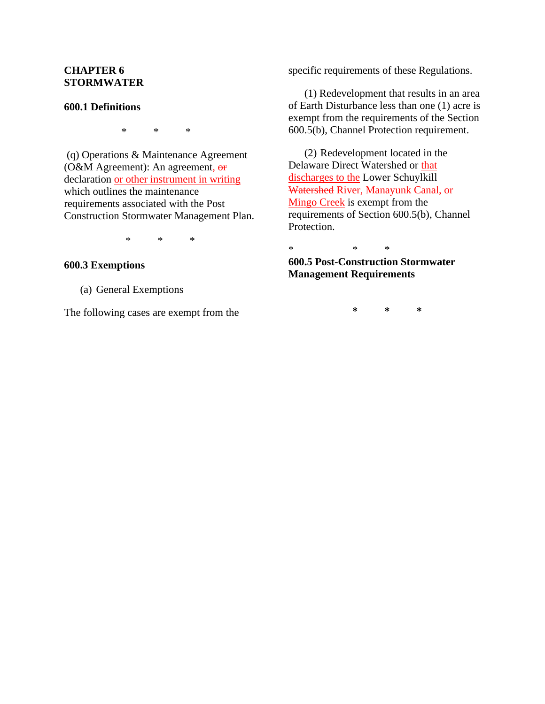## **CHAPTER 6 STORMWATER**

#### **600.1 Definitions**

\* \* \*

(q) Operations & Maintenance Agreement (O&M Agreement): An agreement, or declaration or other instrument in writing which outlines the maintenance requirements associated with the Post Construction Stormwater Management Plan.

\* \* \*

#### **600.3 Exemptions**

(a) General Exemptions

The following cases are exempt from the

specific requirements of these Regulations.

(1) Redevelopment that results in an area of Earth Disturbance less than one (1) acre is exempt from the requirements of the Section 600.5(b), Channel Protection requirement.

(2) Redevelopment located in the Delaware Direct Watershed or that discharges to the Lower Schuylkill Watershed River, Manayunk Canal, or Mingo Creek is exempt from the requirements of Section 600.5(b), Channel Protection.

\* \* \*

**600.5 Post-Construction Stormwater Management Requirements**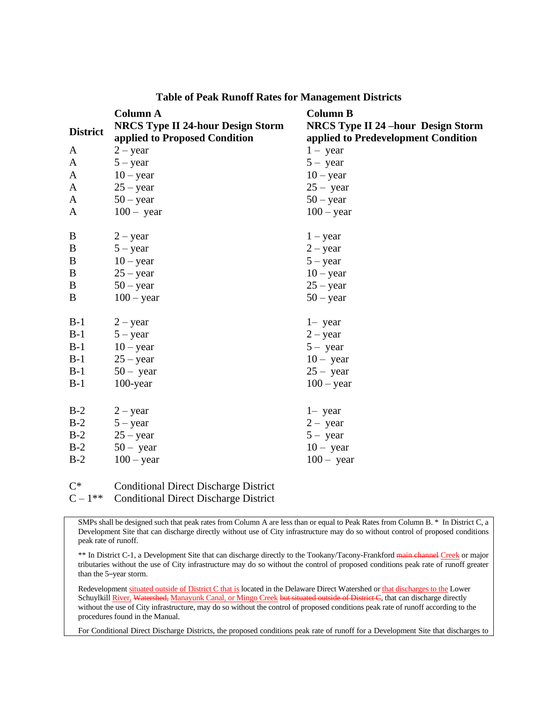|                 | <b>Column A</b>                          | <b>Column B</b>                           |
|-----------------|------------------------------------------|-------------------------------------------|
| <b>District</b> | <b>NRCS Type II 24-hour Design Storm</b> | <b>NRCS Type II 24 -hour Design Storm</b> |
|                 | applied to Proposed Condition            | applied to Predevelopment Condition       |
| A               | $2 - year$                               | $1 - year$                                |
| A               | $5 - year$                               | $5 - year$                                |
| A               | $10 - year$                              | $10 - year$                               |
| A               | $25 - year$                              | $25 - year$                               |
| A               | $50 - year$                              | $50 - year$                               |
| A               | $100 - year$                             | $100 - year$                              |
|                 |                                          |                                           |
| $\bf{B}$        | $2 - year$                               | $1 - year$                                |
| B               | $5 - year$                               | $2 - year$                                |
| $\bf{B}$        | $10 - year$                              | $5 - year$                                |
| B               | $25 - year$                              | $10 - year$                               |
| $\bf{B}$        | $50 - year$                              | $25 - year$                               |
| B               | $100 - year$                             | $50 - year$                               |
|                 |                                          |                                           |
| $B-1$           | $2 - year$                               | $1 - year$                                |
| $B-1$           | $5 - year$                               | $2 - year$                                |
| $B-1$           | $10 - year$                              | $5 - year$                                |
| $B-1$           | $25 - year$                              | $10 - year$                               |
| $B-1$           | $50 - year$                              | $25 - year$                               |
| $B-1$           | $100$ -year                              | $100 - year$                              |
|                 |                                          |                                           |
| $B-2$           | $2 - year$                               | $1 - year$                                |
| $B-2$           | $5 - year$                               | $2 - year$                                |
| $B-2$           | $25 - year$                              | $5 - year$                                |
| $B-2$           | $50 - year$                              | $10 - year$                               |
| $B-2$           | $100 - year$                             | $100 - year$                              |
|                 |                                          |                                           |

#### **Table of Peak Runoff Rates for Management Districts**

 $C^*$ Conditional Direct Discharge District

 $C - 1**$ Conditional Direct Discharge District

SMPs shall be designed such that peak rates from Column A are less than or equal to Peak Rates from Column B. \* In District C, a Development Site that can discharge directly without use of City infrastructure may do so without control of proposed conditions peak rate of runoff.

\*\* In District C-1, a Development Site that can discharge directly to the Tookany/Tacony-Frankford main channel Creek or major tributaries without the use of City infrastructure may do so without the control of proposed conditions peak rate of runoff greater than the 5–year storm.

Redevelopment situated outside of District C that is located in the Delaware Direct Watershed or that discharges to the Lower Schuylkill River, Watershed, Manayunk Canal, or Mingo Creek but situated outside of District C, that can discharge directly without the use of City infrastructure, may do so without the control of proposed conditions peak rate of runoff according to the procedures found in the Manual.

For Conditional Direct Discharge Districts, the proposed conditions peak rate of runoff for a Development Site that discharges to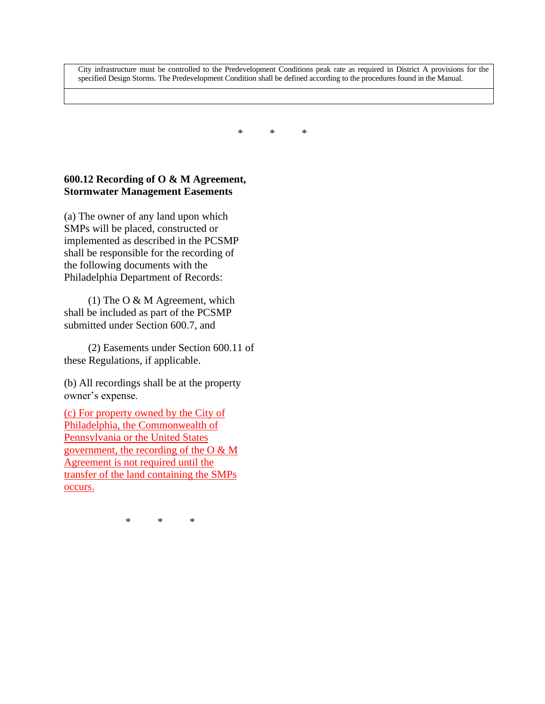City infrastructure must be controlled to the Predevelopment Conditions peak rate as required in District A provisions for the specified Design Storms. The Predevelopment Condition shall be defined according to the procedures found in the Manual.

\* \* \*

## **600.12 Recording of O & M Agreement, Stormwater Management Easements**

(a) The owner of any land upon which SMPs will be placed, constructed or implemented as described in the PCSMP shall be responsible for the recording of the following documents with the Philadelphia Department of Records:

(1) The O  $& M$  Agreement, which shall be included as part of the PCSMP submitted under Section 600.7, and

(2) Easements under Section 600.11 of these Regulations, if applicable.

(b) All recordings shall be at the property owner's expense.

(c) For property owned by the City of Philadelphia, the Commonwealth of Pennsylvania or the United States government, the recording of the O & M Agreement is not required until the transfer of the land containing the SMPs occurs.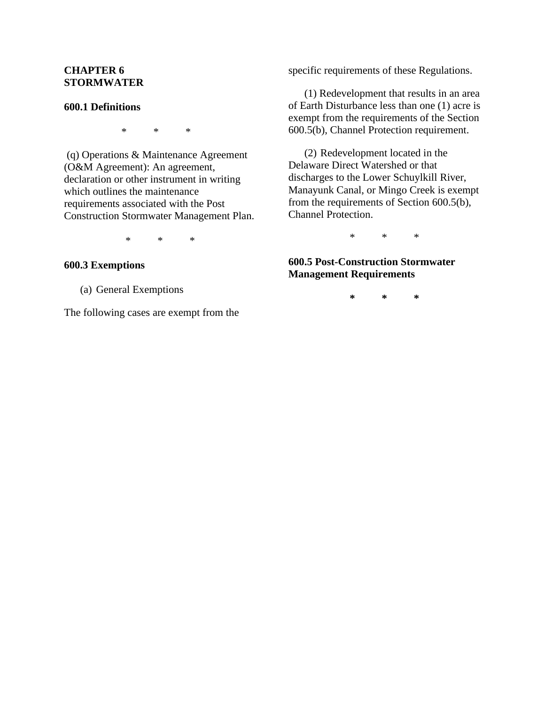## **CHAPTER 6 STORMWATER**

#### **600.1 Definitions**

\* \* \*

(q) Operations & Maintenance Agreement (O&M Agreement): An agreement, declaration or other instrument in writing which outlines the maintenance requirements associated with the Post Construction Stormwater Management Plan.

\* \* \*

#### **600.3 Exemptions**

(a) General Exemptions

The following cases are exempt from the

specific requirements of these Regulations.

(1) Redevelopment that results in an area of Earth Disturbance less than one (1) acre is exempt from the requirements of the Section 600.5(b), Channel Protection requirement.

(2) Redevelopment located in the Delaware Direct Watershed or that discharges to the Lower Schuylkill River, Manayunk Canal, or Mingo Creek is exempt from the requirements of Section 600.5(b), Channel Protection.

\* \* \*

## **600.5 Post-Construction Stormwater Management Requirements**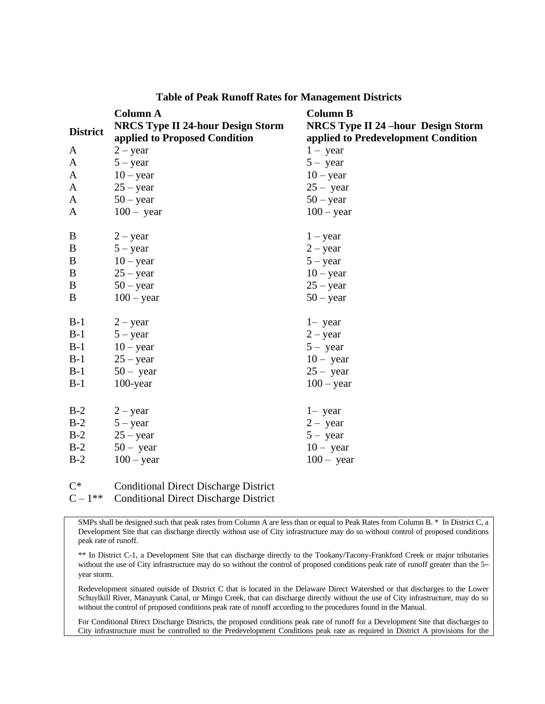|                 | <b>Column A</b>                          | <b>Column B</b>                           |
|-----------------|------------------------------------------|-------------------------------------------|
| <b>District</b> | <b>NRCS Type II 24-hour Design Storm</b> | <b>NRCS Type II 24 -hour Design Storm</b> |
|                 | applied to Proposed Condition            | applied to Predevelopment Condition       |
| A               | $2 - year$                               | $1 - year$                                |
| A               | $5 - year$                               | $5 - year$                                |
| A               | $10 - year$                              | $10 - year$                               |
| A               | $25 - year$                              | $25 - year$                               |
| A               | $50 - year$                              | $50 - year$                               |
| A               | $100 - year$                             | $100 - year$                              |
|                 |                                          |                                           |
| $\bf{B}$        | $2 - year$                               | $1 - year$                                |
| B               | $5 - year$                               | $2 - year$                                |
| $\bf{B}$        | $10 - year$                              | $5 - year$                                |
| B               | $25 - year$                              | $10 - year$                               |
| $\bf{B}$        | $50 - year$                              | $25 - year$                               |
| B               | $100 - year$                             | $50 - year$                               |
|                 |                                          |                                           |
| $B-1$           | $2 - year$                               | $1 - year$                                |
| $B-1$           | $5 - year$                               | $2 - year$                                |
| $B-1$           | $10 - year$                              | $5 - year$                                |
| $B-1$           | $25 - year$                              | $10 - year$                               |
| $B-1$           | $50 - year$                              | $25 - year$                               |
| $B-1$           | $100$ -year                              | $100 - year$                              |
|                 |                                          |                                           |
| $B-2$           | $2 - year$                               | $1 - year$                                |
| $B-2$           | $5 - year$                               | $2 - year$                                |
| $B-2$           | $25 - year$                              | $5 - year$                                |
| $B-2$           | $50 - year$                              | $10 - year$                               |
| $B-2$           | $100 - year$                             | $100 - year$                              |
|                 |                                          |                                           |

#### **Table of Peak Runoff Rates for Management Districts**

 $C^*$ Conditional Direct Discharge District

 $C - 1**$ Conditional Direct Discharge District

SMPs shall be designed such that peak rates from Column A are less than or equal to Peak Rates from Column B. \* In District C, a Development Site that can discharge directly without use of City infrastructure may do so without control of proposed conditions peak rate of runoff.

\*\* In District C-1, a Development Site that can discharge directly to the Tookany/Tacony-Frankford Creek or major tributaries without the use of City infrastructure may do so without the control of proposed conditions peak rate of runoff greater than the 5– year storm.

Redevelopment situated outside of District C that is located in the Delaware Direct Watershed or that discharges to the Lower Schuylkill River, Manayunk Canal, or Mingo Creek, that can discharge directly without the use of City infrastructure, may do so without the control of proposed conditions peak rate of runoff according to the procedures found in the Manual.

For Conditional Direct Discharge Districts, the proposed conditions peak rate of runoff for a Development Site that discharges to City infrastructure must be controlled to the Predevelopment Conditions peak rate as required in District A provisions for the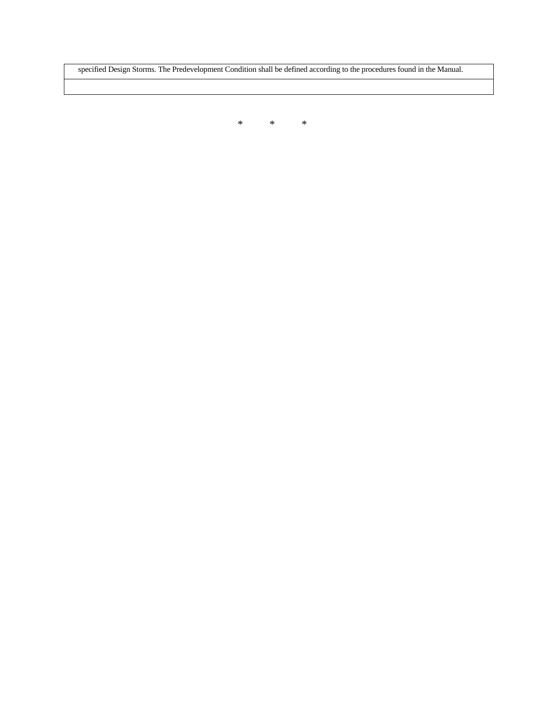specified Design Storms. The Predevelopment Condition shall be defined according to the procedures found in the Manual.